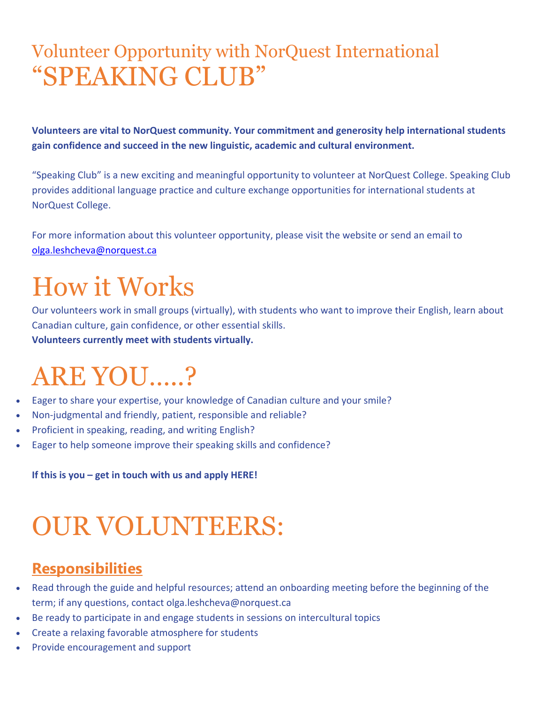### Volunteer Opportunity with NorQuest International "SPEAKING CLUB"

**Volunteers are vital to NorQuest community. Your commitment and generosity help international students gain confidence and succeed in the new linguistic, academic and cultural environment.**

"Speaking Club" is a new exciting and meaningful opportunity to volunteer at NorQuest College. Speaking Club provides additional language practice and culture exchange opportunities for international students at NorQuest College.

For more information about this volunteer opportunity, please visit the website or send an email to [olga.leshcheva@norquest.ca](mailto:olga.leshcheva@norquest.ca)

## How it Works

Our volunteers work in small groups (virtually), with students who want to improve their English, learn about Canadian culture, gain confidence, or other essential skills. **Volunteers currently meet with students virtually.**

### ARE YOU…..?

- Eager to share your expertise, your knowledge of Canadian culture and your smile?
- Non-judgmental and friendly, patient, responsible and reliable?
- Proficient in speaking, reading, and writing English?
- Eager to help someone improve their speaking skills and confidence?

**If this is you – get in touch with us and apply HERE!**

## OUR VOLUNTEERS:

#### **Responsibilities**

- Read through the guide and helpful resources; attend an onboarding meeting before the beginning of the term; if any questions, contact olga.leshcheva@norquest.ca
- Be ready to participate in and engage students in sessions on intercultural topics
- Create a relaxing favorable atmosphere for students
- Provide encouragement and support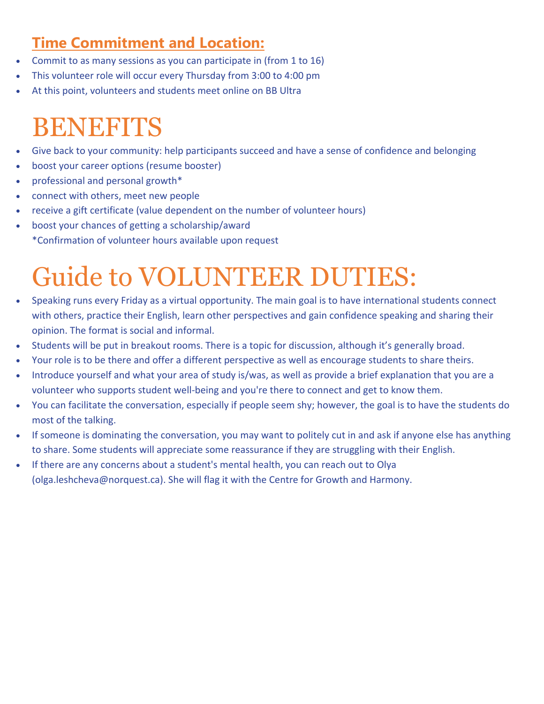### **Time Commitment and Location:**

- Commit to as many sessions as you can participate in (from 1 to 16)
- This volunteer role will occur every Thursday from 3:00 to 4:00 pm
- At this point, volunteers and students meet online on BB Ultra

### BENEFITS

- Give back to your community: help participants succeed and have a sense of confidence and belonging
- boost your career options (resume booster)
- professional and personal growth\*
- connect with others, meet new people
- receive a gift certificate (value dependent on the number of volunteer hours)
- boost your chances of getting a scholarship/award \*Confirmation of volunteer hours available upon request

# Guide to VOLUNTEER DUTIES:

- Speaking runs every Friday as a virtual opportunity. The main goal is to have international students connect with others, practice their English, learn other perspectives and gain confidence speaking and sharing their opinion. The format is social and informal.
- Students will be put in breakout rooms. There is a topic for discussion, although it's generally broad.
- Your role is to be there and offer a different perspective as well as encourage students to share theirs.
- Introduce yourself and what your area of study is/was, as well as provide a brief explanation that you are a volunteer who supports student well-being and you're there to connect and get to know them.
- You can facilitate the conversation, especially if people seem shy; however, the goal is to have the students do most of the talking.
- If someone is dominating the conversation, you may want to politely cut in and ask if anyone else has anything to share. Some students will appreciate some reassurance if they are struggling with their English.
- If there are any concerns about a student's mental health, you can reach out to Olya [\(olga.leshcheva@norquest.ca\)](mailto:olga.leshcheva@norquest.ca). She will flag it with the Centre for Growth and Harmony.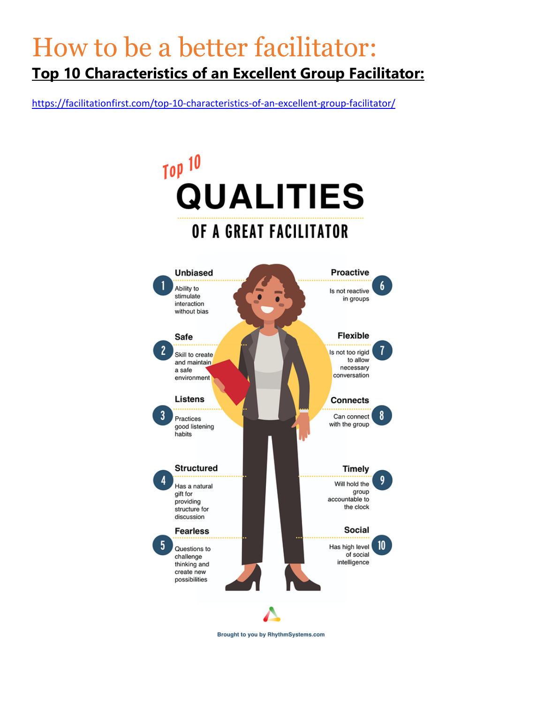### How to be a better facilitator: **Top 10 Characteristics of an Excellent Group Facilitator:**

<https://facilitationfirst.com/top-10-characteristics-of-an-excellent-group-facilitator/>



Brought to you by RhythmSystems.com